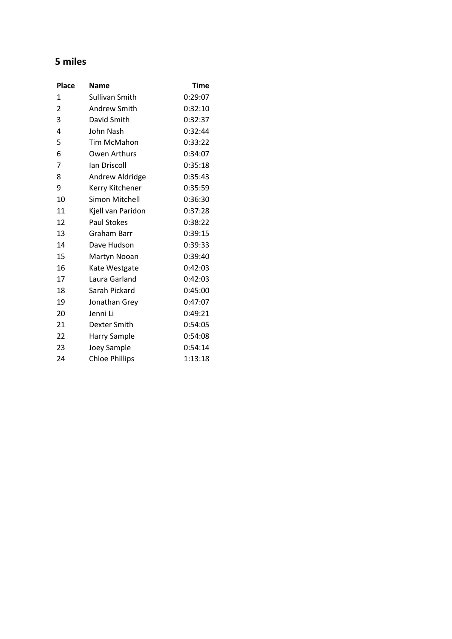## **5 miles**

| <b>Place</b>   | Name                  | Time    |
|----------------|-----------------------|---------|
| 1              | Sullivan Smith        | 0:29:07 |
| $\overline{2}$ | <b>Andrew Smith</b>   | 0:32:10 |
| 3              | David Smith           | 0:32:37 |
| 4              | John Nash             | 0:32:44 |
| 5              | Tim McMahon           | 0:33:22 |
| 6              | Owen Arthurs          | 0:34:07 |
| 7              | lan Driscoll          | 0:35:18 |
| 8              | Andrew Aldridge       | 0:35:43 |
| 9              | Kerry Kitchener       | 0:35:59 |
| 10             | Simon Mitchell        | 0:36:30 |
| 11             | Kjell van Paridon     | 0:37:28 |
| 12             | <b>Paul Stokes</b>    | 0:38:22 |
| 13             | Graham Barr           | 0:39:15 |
| 14             | Dave Hudson           | 0:39:33 |
| 15             | Martyn Nooan          | 0:39:40 |
| 16             | Kate Westgate         | 0:42:03 |
| 17             | Laura Garland         | 0:42:03 |
| 18             | Sarah Pickard         | 0:45:00 |
| 19             | Jonathan Grey         | 0:47:07 |
| 20             | Jenni Li              | 0:49:21 |
| 21             | Dexter Smith          | 0:54:05 |
| 22             | <b>Harry Sample</b>   | 0:54:08 |
| 23             | Joey Sample           | 0:54:14 |
| 24             | <b>Chloe Phillips</b> | 1:13:18 |